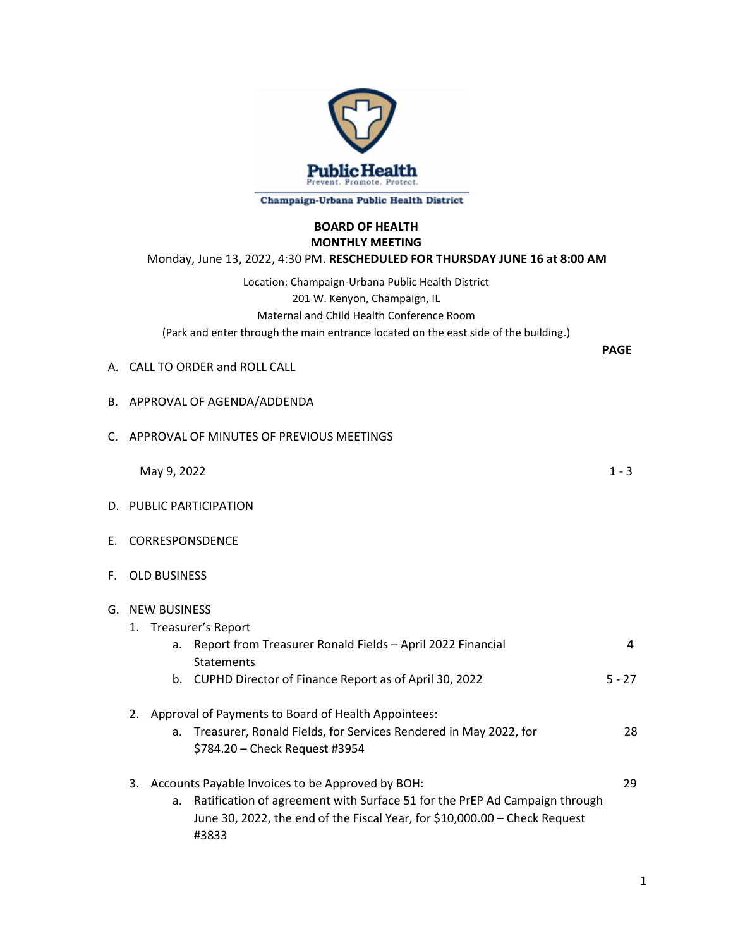

## Champaign-Urbana Public Health District

## **BOARD OF HEALTH MONTHLY MEETING** Monday, June 13, 2022, 4:30 PM. **RESCHEDULED FOR THURSDAY JUNE 16 at 8:00 AM**

Location: Champaign-Urbana Public Health District 201 W. Kenyon, Champaign, IL Maternal and Child Health Conference Room (Park and enter through the main entrance located on the east side of the building.)

|  | A. CALL TO ORDER and ROLL CALL |  |  |
|--|--------------------------------|--|--|
|  |                                |  |  |

|             | B. APPROVAL OF AGENDA/ADDENDA                                                                                                                                                                                                     |               |
|-------------|-----------------------------------------------------------------------------------------------------------------------------------------------------------------------------------------------------------------------------------|---------------|
| $C_{\cdot}$ | APPROVAL OF MINUTES OF PREVIOUS MEETINGS                                                                                                                                                                                          |               |
|             | May 9, 2022                                                                                                                                                                                                                       | $1 - 3$       |
|             | D. PUBLIC PARTICIPATION                                                                                                                                                                                                           |               |
| Е.          | <b>CORRESPONSDENCE</b>                                                                                                                                                                                                            |               |
| F.          | <b>OLD BUSINESS</b>                                                                                                                                                                                                               |               |
|             | G. NEW BUSINESS<br>1. Treasurer's Report<br>Report from Treasurer Ronald Fields - April 2022 Financial<br>a.<br><b>Statements</b><br>b. CUPHD Director of Finance Report as of April 30, 2022                                     | 4<br>$5 - 27$ |
|             |                                                                                                                                                                                                                                   |               |
|             | Approval of Payments to Board of Health Appointees:<br>2.<br>Treasurer, Ronald Fields, for Services Rendered in May 2022, for<br>a.<br>\$784.20 - Check Request #3954                                                             | 28            |
|             | Accounts Payable Invoices to be Approved by BOH:<br>3.<br>Ratification of agreement with Surface 51 for the PrEP Ad Campaign through<br>a.<br>June 30, 2022, the end of the Fiscal Year, for \$10,000.00 - Check Request<br>#3833 | 29            |

**PAGE**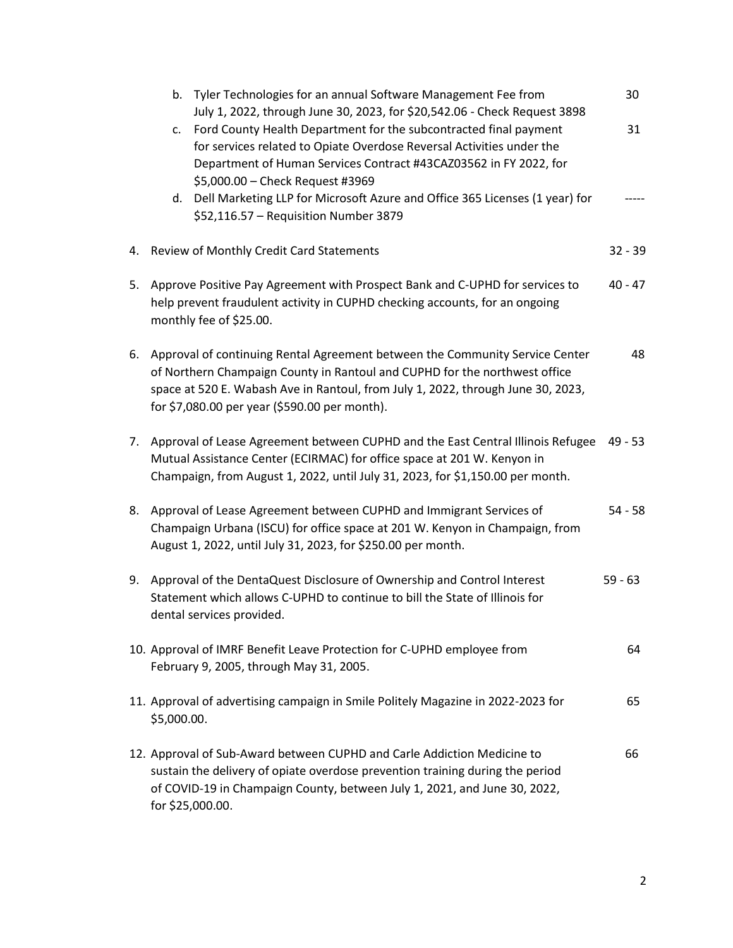|    | b. Tyler Technologies for an annual Software Management Fee from<br>July 1, 2022, through June 30, 2023, for \$20,542.06 - Check Request 3898                                                                                                                                                   | 30        |
|----|-------------------------------------------------------------------------------------------------------------------------------------------------------------------------------------------------------------------------------------------------------------------------------------------------|-----------|
|    | Ford County Health Department for the subcontracted final payment<br>c.<br>for services related to Opiate Overdose Reversal Activities under the<br>Department of Human Services Contract #43CAZ03562 in FY 2022, for<br>\$5,000.00 - Check Request #3969                                       | 31        |
|    | d. Dell Marketing LLP for Microsoft Azure and Office 365 Licenses (1 year) for<br>\$52,116.57 - Requisition Number 3879                                                                                                                                                                         |           |
|    | 4. Review of Monthly Credit Card Statements                                                                                                                                                                                                                                                     | $32 - 39$ |
| 5. | Approve Positive Pay Agreement with Prospect Bank and C-UPHD for services to<br>help prevent fraudulent activity in CUPHD checking accounts, for an ongoing<br>monthly fee of \$25.00.                                                                                                          | $40 - 47$ |
| 6. | Approval of continuing Rental Agreement between the Community Service Center<br>of Northern Champaign County in Rantoul and CUPHD for the northwest office<br>space at 520 E. Wabash Ave in Rantoul, from July 1, 2022, through June 30, 2023,<br>for \$7,080.00 per year (\$590.00 per month). | 48        |
| 7. | Approval of Lease Agreement between CUPHD and the East Central Illinois Refugee<br>Mutual Assistance Center (ECIRMAC) for office space at 201 W. Kenyon in<br>Champaign, from August 1, 2022, until July 31, 2023, for \$1,150.00 per month.                                                    | 49 - 53   |
| 8. | Approval of Lease Agreement between CUPHD and Immigrant Services of<br>Champaign Urbana (ISCU) for office space at 201 W. Kenyon in Champaign, from<br>August 1, 2022, until July 31, 2023, for \$250.00 per month.                                                                             | $54 - 58$ |
| 9. | Approval of the DentaQuest Disclosure of Ownership and Control Interest<br>Statement which allows C-UPHD to continue to bill the State of Illinois for<br>dental services provided.                                                                                                             | $59 - 63$ |
|    | 10. Approval of IMRF Benefit Leave Protection for C-UPHD employee from<br>February 9, 2005, through May 31, 2005.                                                                                                                                                                               | 64        |
|    | 11. Approval of advertising campaign in Smile Politely Magazine in 2022-2023 for<br>\$5,000.00.                                                                                                                                                                                                 | 65        |
|    | 12. Approval of Sub-Award between CUPHD and Carle Addiction Medicine to<br>sustain the delivery of opiate overdose prevention training during the period<br>of COVID-19 in Champaign County, between July 1, 2021, and June 30, 2022,<br>for \$25,000.00.                                       | 66        |